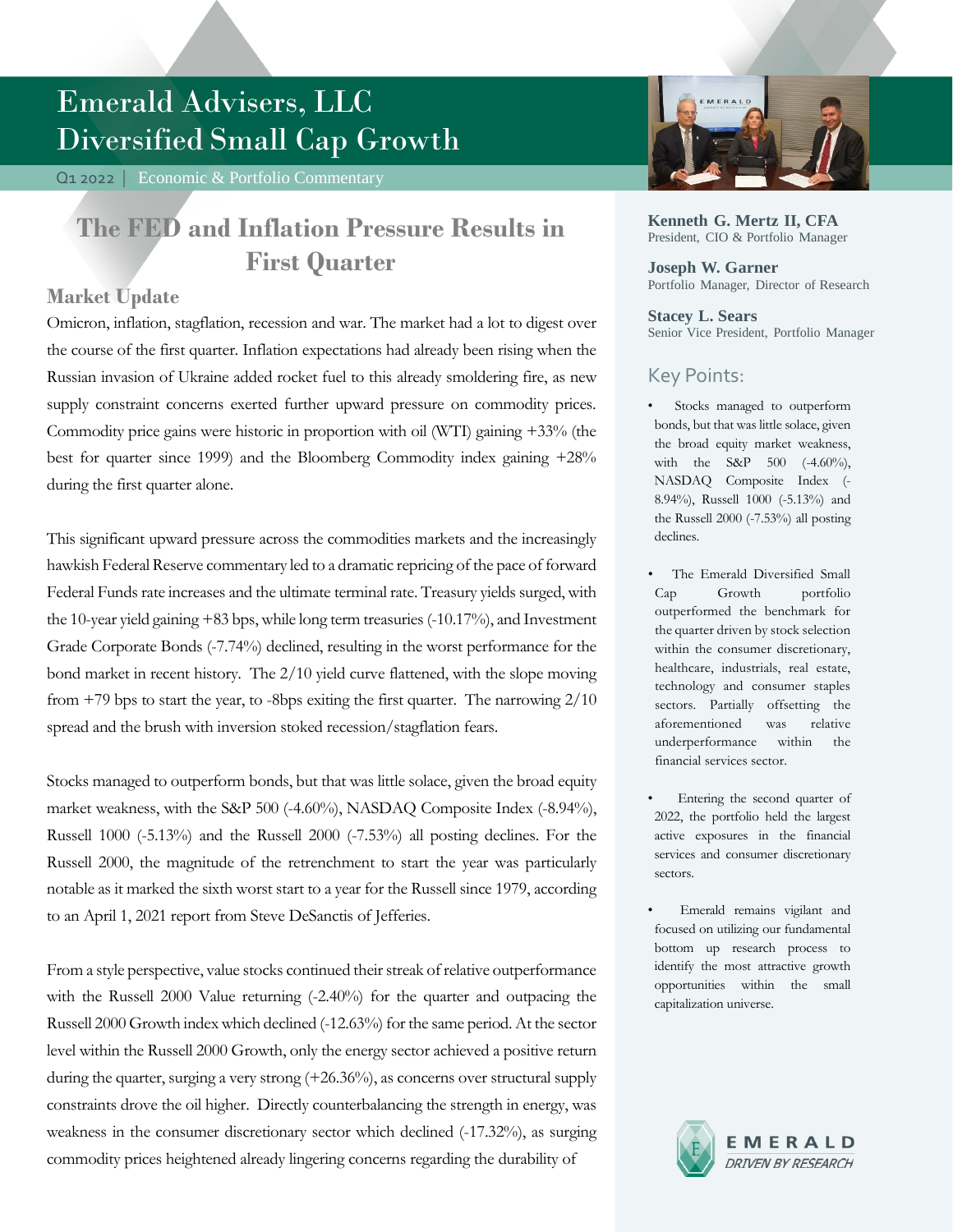# Emerald Advisers, LLC Diversified Small Cap Growth

Q1 2022 | Economic & Portfolio Commentary

## **The FED and Inflation Pressure Results in First Quarter**

### **Market Update**

Omicron, inflation, stagflation, recession and war. The market had a lot to digest over the course of the first quarter. Inflation expectations had already been rising when the Russian invasion of Ukraine added rocket fuel to this already smoldering fire, as new supply constraint concerns exerted further upward pressure on commodity prices. Commodity price gains were historic in proportion with oil (WTI) gaining +33% (the best for quarter since 1999) and the Bloomberg Commodity index gaining +28% during the first quarter alone.

This significant upward pressure across the commodities markets and the increasingly hawkish Federal Reserve commentary led to a dramatic repricing of the pace of forward Federal Funds rate increases and the ultimate terminal rate. Treasury yields surged, with the 10-year yield gaining +83 bps, while long term treasuries (-10.17%), and Investment Grade Corporate Bonds (-7.74%) declined, resulting in the worst performance for the bond market in recent history. The 2/10 yield curve flattened, with the slope moving from +79 bps to start the year, to -8bps exiting the first quarter. The narrowing 2/10 spread and the brush with inversion stoked recession/stagflation fears.

Stocks managed to outperform bonds, but that was little solace, given the broad equity market weakness, with the S&P 500 (-4.60%), NASDAQ Composite Index (-8.94%), Russell 1000 (-5.13%) and the Russell 2000 (-7.53%) all posting declines. For the Russell 2000, the magnitude of the retrenchment to start the year was particularly notable as it marked the sixth worst start to a year for the Russell since 1979, according to an April 1, 2021 report from Steve DeSanctis of Jefferies.

From a style perspective, value stocks continued their streak of relative outperformance with the Russell 2000 Value returning  $(-2.40\%)$  for the quarter and outpacing the Russell 2000 Growth index which declined (-12.63%) for the same period. At the sector level within the Russell 2000 Growth, only the energy sector achieved a positive return during the quarter, surging a very strong (+26.36%), as concerns over structural supply constraints drove the oil higher. Directly counterbalancing the strength in energy, was weakness in the consumer discretionary sector which declined (-17.32%), as surging commodity prices heightened already lingering concerns regarding the durability of



**Kenneth G. Mertz II, CFA** President, CIO & Portfolio Manager

**Joseph W. Garner** Portfolio Manager, Director of Research

#### **Stacey L. Sears** Senior Vice President, Portfolio Manager

### Key Points:

- Stocks managed to outperform bonds, but that was little solace, given the broad equity market weakness, with the S&P 500 (-4.60%), NASDAQ Composite Index (- 8.94%), Russell 1000 (-5.13%) and the Russell 2000 (-7.53%) all posting declines.
- The Emerald Diversified Small Cap Growth portfolio outperformed the benchmark for the quarter driven by stock selection within the consumer discretionary, healthcare, industrials, real estate, technology and consumer staples sectors. Partially offsetting the aforementioned was relative underperformance within the financial services sector.
- Entering the second quarter of 2022, the portfolio held the largest active exposures in the financial services and consumer discretionary sectors.
- Emerald remains vigilant and focused on utilizing our fundamental bottom up research process to identify the most attractive growth opportunities within the small capitalization universe.

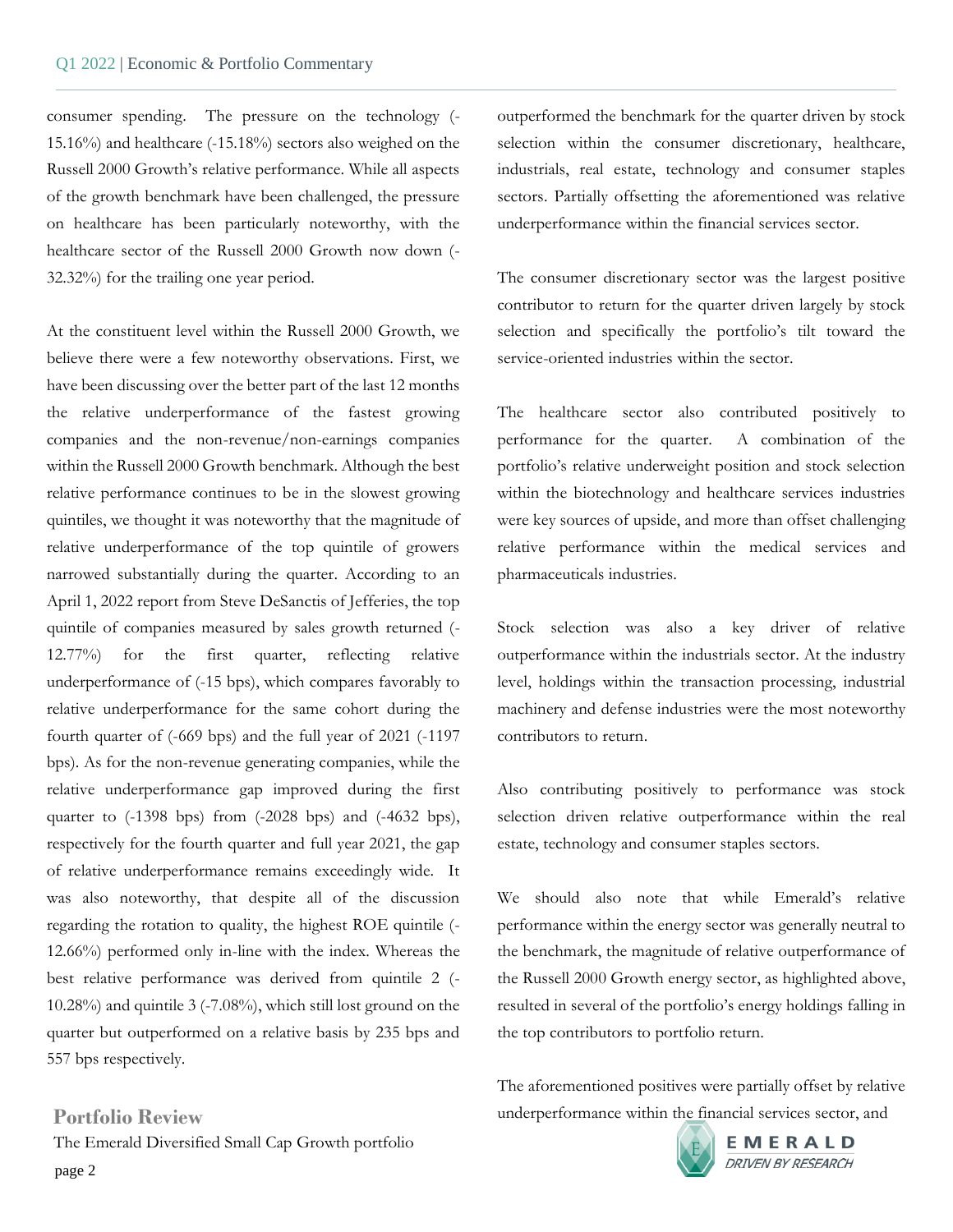consumer spending. The pressure on the technology (- 15.16%) and healthcare (-15.18%) sectors also weighed on the Russell 2000 Growth's relative performance. While all aspects of the growth benchmark have been challenged, the pressure on healthcare has been particularly noteworthy, with the healthcare sector of the Russell 2000 Growth now down (- 32.32%) for the trailing one year period.

At the constituent level within the Russell 2000 Growth, we believe there were a few noteworthy observations. First, we have been discussing over the better part of the last 12 months the relative underperformance of the fastest growing companies and the non-revenue/non-earnings companies within the Russell 2000 Growth benchmark. Although the best relative performance continues to be in the slowest growing quintiles, we thought it was noteworthy that the magnitude of relative underperformance of the top quintile of growers narrowed substantially during the quarter. According to an April 1, 2022 report from Steve DeSanctis of Jefferies, the top quintile of companies measured by sales growth returned (- 12.77%) for the first quarter, reflecting relative underperformance of (-15 bps), which compares favorably to relative underperformance for the same cohort during the fourth quarter of (-669 bps) and the full year of 2021 (-1197 bps). As for the non-revenue generating companies, while the relative underperformance gap improved during the first quarter to (-1398 bps) from (-2028 bps) and (-4632 bps), respectively for the fourth quarter and full year 2021, the gap of relative underperformance remains exceedingly wide. It was also noteworthy, that despite all of the discussion regarding the rotation to quality, the highest ROE quintile (- 12.66%) performed only in-line with the index. Whereas the best relative performance was derived from quintile 2 (- 10.28%) and quintile 3 (-7.08%), which still lost ground on the quarter but outperformed on a relative basis by 235 bps and 557 bps respectively.

page 2 **Portfolio Review** The Emerald Diversified Small Cap Growth portfolio outperformed the benchmark for the quarter driven by stock selection within the consumer discretionary, healthcare, industrials, real estate, technology and consumer staples sectors. Partially offsetting the aforementioned was relative underperformance within the financial services sector.

The consumer discretionary sector was the largest positive contributor to return for the quarter driven largely by stock selection and specifically the portfolio's tilt toward the service-oriented industries within the sector.

The healthcare sector also contributed positively to performance for the quarter. A combination of the portfolio's relative underweight position and stock selection within the biotechnology and healthcare services industries were key sources of upside, and more than offset challenging relative performance within the medical services and pharmaceuticals industries.

Stock selection was also a key driver of relative outperformance within the industrials sector. At the industry level, holdings within the transaction processing, industrial machinery and defense industries were the most noteworthy contributors to return.

Also contributing positively to performance was stock selection driven relative outperformance within the real estate, technology and consumer staples sectors.

We should also note that while Emerald's relative performance within the energy sector was generally neutral to the benchmark, the magnitude of relative outperformance of the Russell 2000 Growth energy sector, as highlighted above, resulted in several of the portfolio's energy holdings falling in the top contributors to portfolio return.

The aforementioned positives were partially offset by relative underperformance within the financial services sector, and



EMERALD **DRIVEN BY RESEARCH**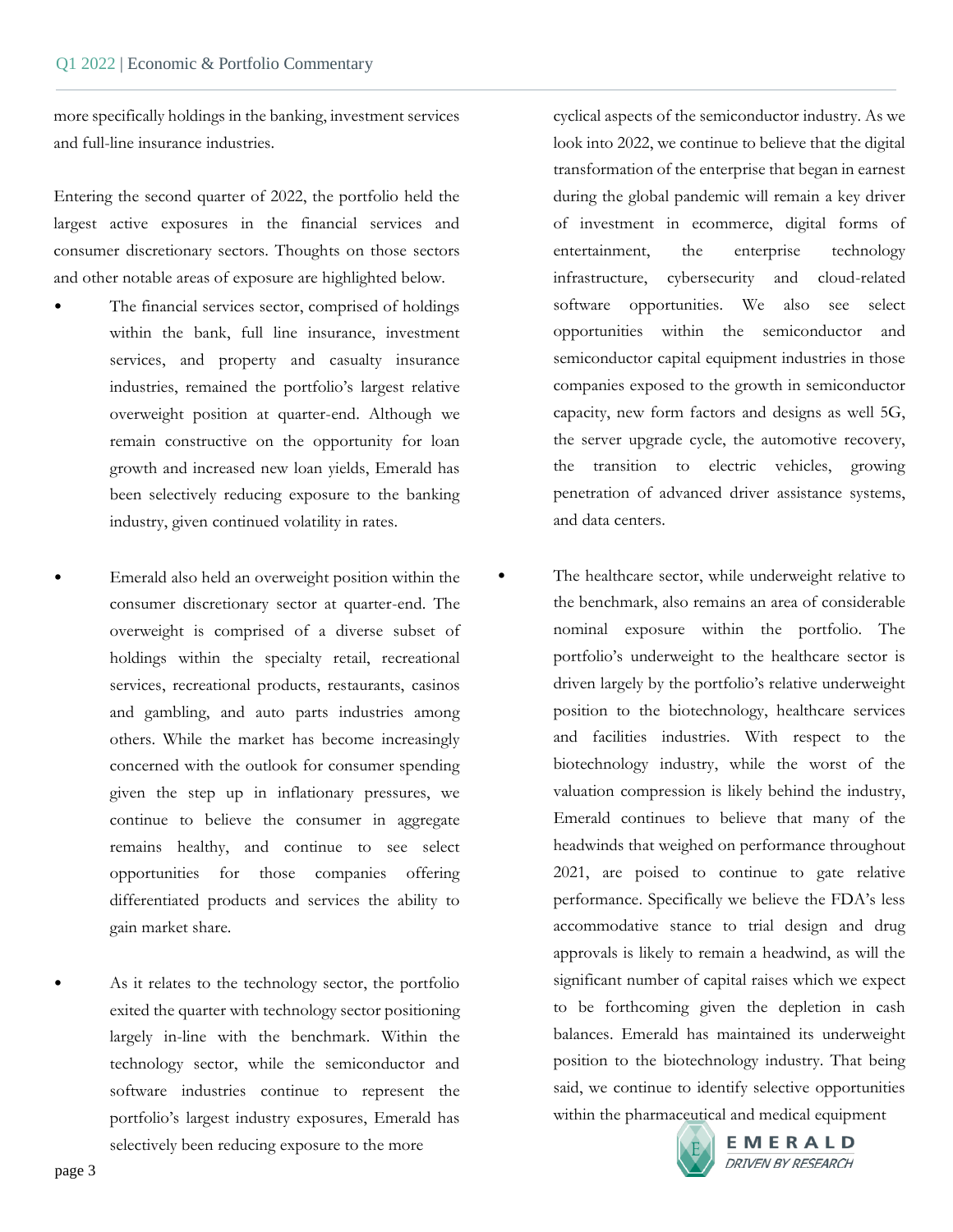more specifically holdings in the banking, investment services and full-line insurance industries.

Entering the second quarter of 2022, the portfolio held the largest active exposures in the financial services and consumer discretionary sectors. Thoughts on those sectors and other notable areas of exposure are highlighted below.

- The financial services sector, comprised of holdings within the bank, full line insurance, investment services, and property and casualty insurance industries, remained the portfolio's largest relative overweight position at quarter-end. Although we remain constructive on the opportunity for loan growth and increased new loan yields, Emerald has been selectively reducing exposure to the banking industry, given continued volatility in rates.
	- Emerald also held an overweight position within the consumer discretionary sector at quarter-end. The overweight is comprised of a diverse subset of holdings within the specialty retail, recreational services, recreational products, restaurants, casinos and gambling, and auto parts industries among others. While the market has become increasingly concerned with the outlook for consumer spending given the step up in inflationary pressures, we continue to believe the consumer in aggregate remains healthy, and continue to see select opportunities for those companies offering differentiated products and services the ability to gain market share.

As it relates to the technology sector, the portfolio exited the quarter with technology sector positioning largely in-line with the benchmark. Within the technology sector, while the semiconductor and software industries continue to represent the portfolio's largest industry exposures, Emerald has selectively been reducing exposure to the more

cyclical aspects of the semiconductor industry. As we look into 2022, we continue to believe that the digital transformation of the enterprise that began in earnest during the global pandemic will remain a key driver of investment in ecommerce, digital forms of entertainment, the enterprise technology infrastructure, cybersecurity and cloud-related software opportunities. We also see select opportunities within the semiconductor and semiconductor capital equipment industries in those companies exposed to the growth in semiconductor capacity, new form factors and designs as well 5G, the server upgrade cycle, the automotive recovery, the transition to electric vehicles, growing penetration of advanced driver assistance systems, and data centers.

The healthcare sector, while underweight relative to the benchmark, also remains an area of considerable nominal exposure within the portfolio. The portfolio's underweight to the healthcare sector is driven largely by the portfolio's relative underweight position to the biotechnology, healthcare services and facilities industries. With respect to the biotechnology industry, while the worst of the valuation compression is likely behind the industry, Emerald continues to believe that many of the headwinds that weighed on performance throughout 2021, are poised to continue to gate relative performance. Specifically we believe the FDA's less accommodative stance to trial design and drug approvals is likely to remain a headwind, as will the significant number of capital raises which we expect to be forthcoming given the depletion in cash balances. Emerald has maintained its underweight position to the biotechnology industry. That being said, we continue to identify selective opportunities within the pharmaceutical and medical equipment



EMERALD DRIVEN BY RESEARCH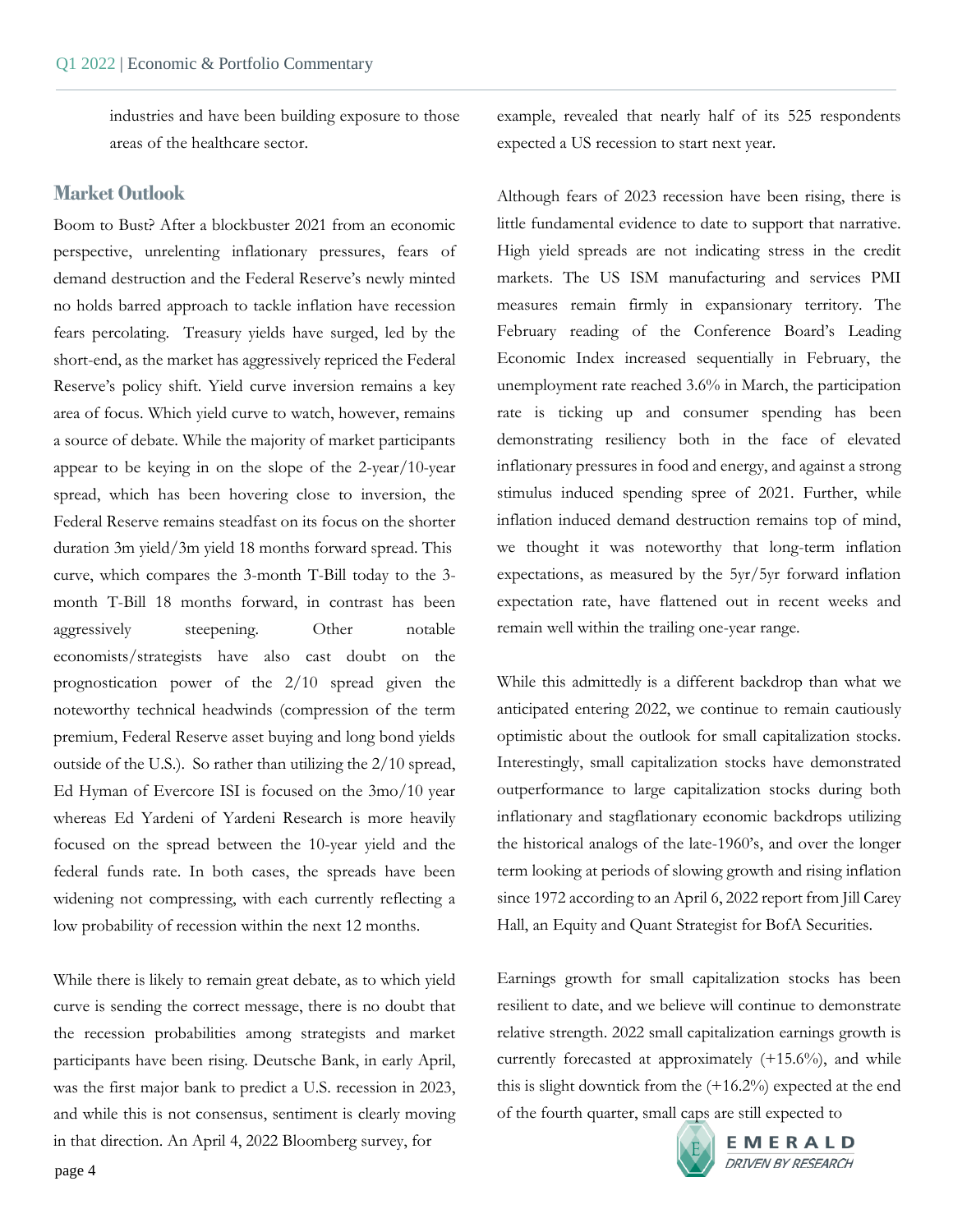industries and have been building exposure to those areas of the healthcare sector.

#### **Market Outlook**

Boom to Bust? After a blockbuster 2021 from an economic perspective, unrelenting inflationary pressures, fears of demand destruction and the Federal Reserve's newly minted no holds barred approach to tackle inflation have recession fears percolating. Treasury yields have surged, led by the short-end, as the market has aggressively repriced the Federal Reserve's policy shift. Yield curve inversion remains a key area of focus. Which yield curve to watch, however, remains a source of debate. While the majority of market participants appear to be keying in on the slope of the 2-year/10-year spread, which has been hovering close to inversion, the Federal Reserve remains steadfast on its focus on the shorter duration 3m yield/3m yield 18 months forward spread. This curve, which compares the 3-month T-Bill today to the 3 month T-Bill 18 months forward, in contrast has been aggressively steepening. Other notable economists/strategists have also cast doubt on the prognostication power of the 2/10 spread given the noteworthy technical headwinds (compression of the term premium, Federal Reserve asset buying and long bond yields outside of the U.S.). So rather than utilizing the 2/10 spread, Ed Hyman of Evercore ISI is focused on the 3mo/10 year whereas Ed Yardeni of Yardeni Research is more heavily focused on the spread between the 10-year yield and the federal funds rate. In both cases, the spreads have been widening not compressing, with each currently reflecting a low probability of recession within the next 12 months.

While there is likely to remain great debate, as to which yield curve is sending the correct message, there is no doubt that the recession probabilities among strategists and market participants have been rising. Deutsche Bank, in early April, was the first major bank to predict a U.S. recession in 2023, and while this is not consensus, sentiment is clearly moving in that direction. An April 4, 2022 Bloomberg survey, for

example, revealed that nearly half of its 525 respondents expected a US recession to start next year.

Although fears of 2023 recession have been rising, there is little fundamental evidence to date to support that narrative. High yield spreads are not indicating stress in the credit markets. The US ISM manufacturing and services PMI measures remain firmly in expansionary territory. The February reading of the Conference Board's Leading Economic Index increased sequentially in February, the unemployment rate reached 3.6% in March, the participation rate is ticking up and consumer spending has been demonstrating resiliency both in the face of elevated inflationary pressures in food and energy, and against a strong stimulus induced spending spree of 2021. Further, while inflation induced demand destruction remains top of mind, we thought it was noteworthy that long-term inflation expectations, as measured by the 5yr/5yr forward inflation expectation rate, have flattened out in recent weeks and remain well within the trailing one-year range.

While this admittedly is a different backdrop than what we anticipated entering 2022, we continue to remain cautiously optimistic about the outlook for small capitalization stocks. Interestingly, small capitalization stocks have demonstrated outperformance to large capitalization stocks during both inflationary and stagflationary economic backdrops utilizing the historical analogs of the late-1960's, and over the longer term looking at periods of slowing growth and rising inflation since 1972 according to an April 6, 2022 report from Jill Carey Hall, an Equity and Quant Strategist for BofA Securities.

Earnings growth for small capitalization stocks has been resilient to date, and we believe will continue to demonstrate relative strength. 2022 small capitalization earnings growth is currently forecasted at approximately (+15.6%), and while this is slight downtick from the (+16.2%) expected at the end of the fourth quarter, small caps are still expected to

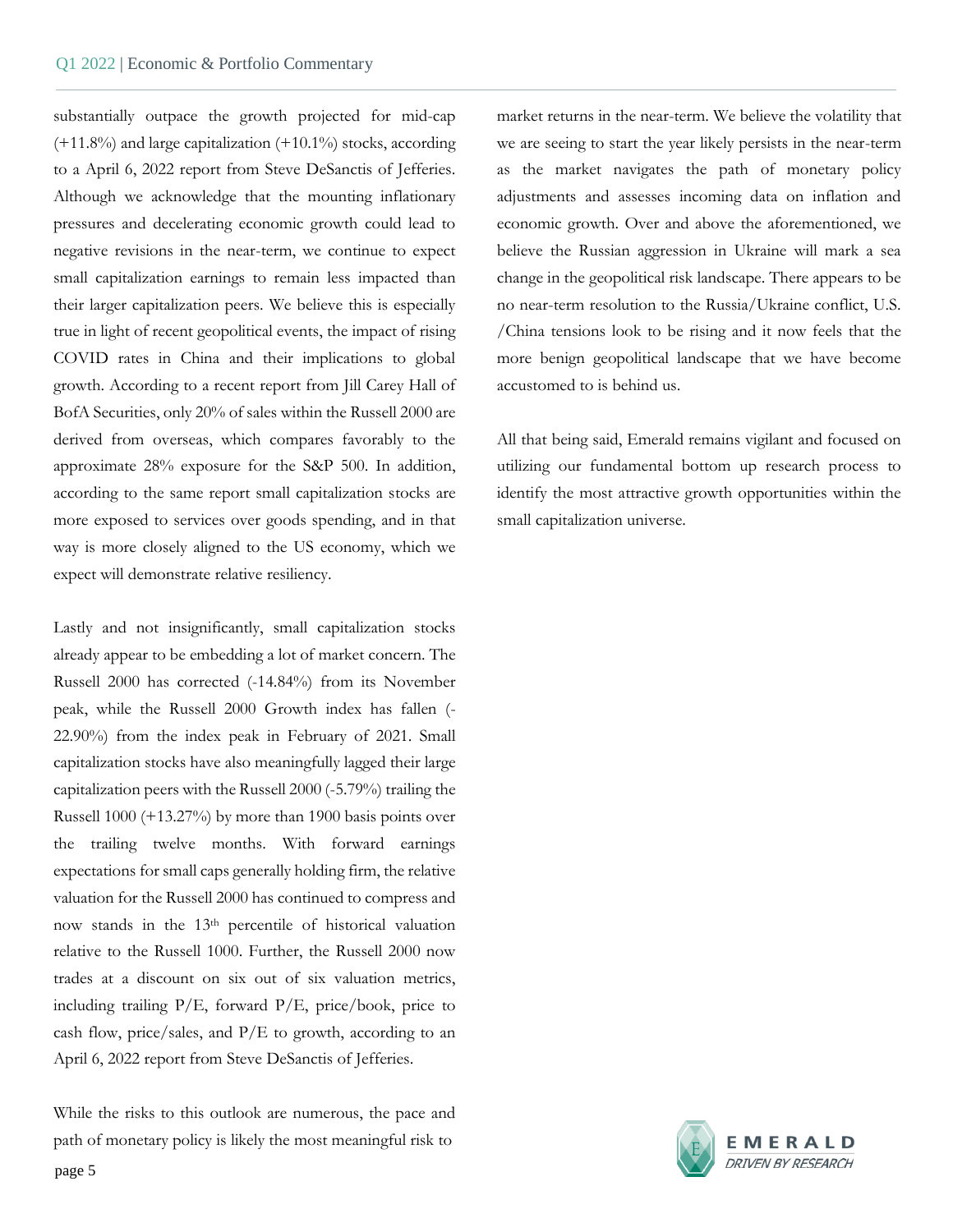substantially outpace the growth projected for mid-cap  $(+11.8\%)$  and large capitalization  $(+10.1\%)$  stocks, according to a April 6, 2022 report from Steve DeSanctis of Jefferies. Although we acknowledge that the mounting inflationary pressures and decelerating economic growth could lead to negative revisions in the near-term, we continue to expect small capitalization earnings to remain less impacted than their larger capitalization peers. We believe this is especially true in light of recent geopolitical events, the impact of rising COVID rates in China and their implications to global growth. According to a recent report from Jill Carey Hall of BofA Securities, only 20% of sales within the Russell 2000 are derived from overseas, which compares favorably to the approximate 28% exposure for the S&P 500. In addition, according to the same report small capitalization stocks are more exposed to services over goods spending, and in that way is more closely aligned to the US economy, which we expect will demonstrate relative resiliency.

Lastly and not insignificantly, small capitalization stocks already appear to be embedding a lot of market concern. The Russell 2000 has corrected (-14.84%) from its November peak, while the Russell 2000 Growth index has fallen (- 22.90%) from the index peak in February of 2021. Small capitalization stocks have also meaningfully lagged their large capitalization peers with the Russell 2000 (-5.79%) trailing the Russell 1000 (+13.27%) by more than 1900 basis points over the trailing twelve months. With forward earnings expectations for small caps generally holding firm, the relative valuation for the Russell 2000 has continued to compress and now stands in the 13th percentile of historical valuation relative to the Russell 1000. Further, the Russell 2000 now trades at a discount on six out of six valuation metrics, including trailing  $P/E$ , forward  $P/E$ , price/book, price to cash flow, price/sales, and P/E to growth, according to an April 6, 2022 report from Steve DeSanctis of Jefferies.

While the risks to this outlook are numerous, the pace and path of monetary policy is likely the most meaningful risk to

market returns in the near-term. We believe the volatility that we are seeing to start the year likely persists in the near-term as the market navigates the path of monetary policy adjustments and assesses incoming data on inflation and economic growth. Over and above the aforementioned, we believe the Russian aggression in Ukraine will mark a sea change in the geopolitical risk landscape. There appears to be no near-term resolution to the Russia/Ukraine conflict, U.S. /China tensions look to be rising and it now feels that the more benign geopolitical landscape that we have become accustomed to is behind us.

All that being said, Emerald remains vigilant and focused on utilizing our fundamental bottom up research process to identify the most attractive growth opportunities within the small capitalization universe.